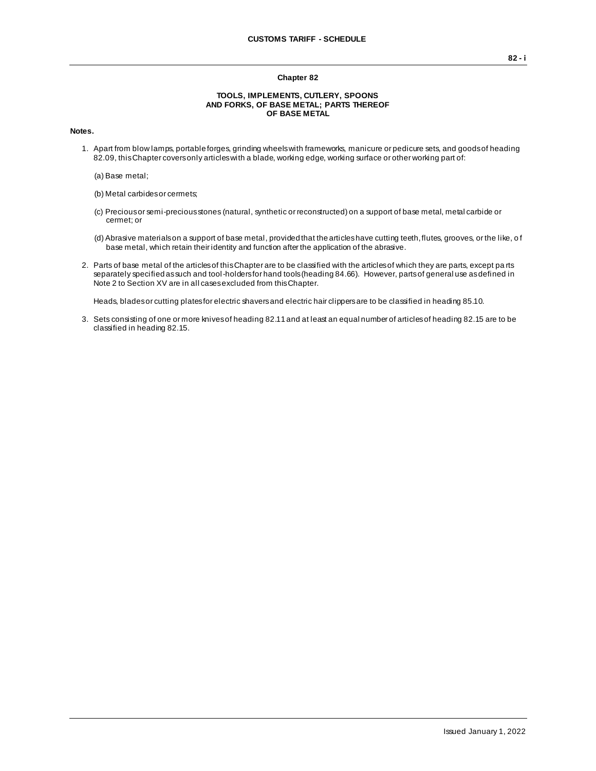### **Chapter 82**

#### **TOOLS, IMPLEMENTS, CUTLERY, SPOONS AND FORKS, OF BASE METAL; PARTS THEREOF OF BASE METAL**

### **Notes.**

- 1. Apart from blow lamps, portable forges, grinding wheels with frameworks, manicure or pedicure sets, and goods of heading 82.09, this Chapter covers only articles with a blade, working edge, working surface or other working part of:
	- (a) Base metal;
	- (b) Metal carbides or cermets;
	- (c) Precious or semi-precious stones (natural, synthetic or reconstructed) on a support of base metal, metal carbide or cermet; or
	- (d) Abrasive materials on a support of base metal, provided that the articles have cutting teeth, flutes, grooves, or the like, o f base metal, which retain their identity and function after the application of the abrasive.
- 2. Parts of base metal of the articles of this Chapter are to be classified with the articles of which they are parts, except pa rts separately specified as such and tool-holders for hand tools (heading 84.66). However, parts of general use as defined in Note 2 to Section XV are in all cases excluded from this Chapter.

Heads, blades or cutting plates for electric shavers and electric hair clippers are to be classified in heading 85.10.

3. Sets consisting of one or more knives of heading 82.11 and at least an equal number of articles of heading 82.15 are to be classified in heading 82.15.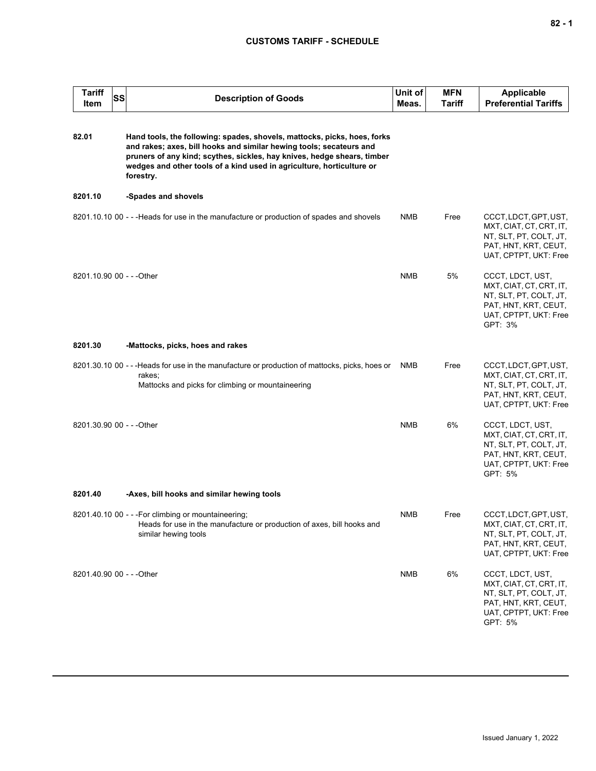## **CUSTOMS TARIFF - SCHEDULE**

| <b>Tariff</b><br>Item     | SS | <b>Description of Goods</b>                                                                                                                                                                                                                                                                                      | Unit of<br>Meas. | <b>MFN</b><br><b>Tariff</b> | <b>Applicable</b><br><b>Preferential Tariffs</b>                                                                                  |
|---------------------------|----|------------------------------------------------------------------------------------------------------------------------------------------------------------------------------------------------------------------------------------------------------------------------------------------------------------------|------------------|-----------------------------|-----------------------------------------------------------------------------------------------------------------------------------|
| 82.01                     |    | Hand tools, the following: spades, shovels, mattocks, picks, hoes, forks<br>and rakes; axes, bill hooks and similar hewing tools; secateurs and<br>pruners of any kind; scythes, sickles, hay knives, hedge shears, timber<br>wedges and other tools of a kind used in agriculture, horticulture or<br>forestry. |                  |                             |                                                                                                                                   |
| 8201.10                   |    | -Spades and shovels                                                                                                                                                                                                                                                                                              |                  |                             |                                                                                                                                   |
|                           |    | 8201.10.10 00 - - - Heads for use in the manufacture or production of spades and shovels                                                                                                                                                                                                                         | <b>NMB</b>       | Free                        | CCCT, LDCT, GPT, UST,<br>MXT, CIAT, CT, CRT, IT,<br>NT, SLT, PT, COLT, JT,<br>PAT, HNT, KRT, CEUT,<br>UAT, CPTPT, UKT: Free       |
| 8201.10.90 00 - - - Other |    |                                                                                                                                                                                                                                                                                                                  | <b>NMB</b>       | 5%                          | CCCT, LDCT, UST,<br>MXT, CIAT, CT, CRT, IT,<br>NT, SLT, PT, COLT, JT,<br>PAT, HNT, KRT, CEUT,<br>UAT, CPTPT, UKT: Free<br>GPT: 3% |
| 8201.30                   |    | -Mattocks, picks, hoes and rakes                                                                                                                                                                                                                                                                                 |                  |                             |                                                                                                                                   |
|                           |    | 8201.30.10 00 - - -Heads for use in the manufacture or production of mattocks, picks, hoes or<br>rakes;<br>Mattocks and picks for climbing or mountaineering                                                                                                                                                     | NMB              | Free                        | CCCT, LDCT, GPT, UST,<br>MXT, CIAT, CT, CRT, IT,<br>NT, SLT, PT, COLT, JT,<br>PAT, HNT, KRT, CEUT,<br>UAT, CPTPT, UKT: Free       |
| 8201.30.90 00 - - - Other |    |                                                                                                                                                                                                                                                                                                                  | <b>NMB</b>       | 6%                          | CCCT, LDCT, UST,<br>MXT, CIAT, CT, CRT, IT,<br>NT, SLT, PT, COLT, JT,<br>PAT, HNT, KRT, CEUT,<br>UAT, CPTPT, UKT: Free<br>GPT: 5% |
| 8201.40                   |    | -Axes, bill hooks and similar hewing tools                                                                                                                                                                                                                                                                       |                  |                             |                                                                                                                                   |
|                           |    | 8201.40.10 00 - - - For climbing or mountaineering;<br>Heads for use in the manufacture or production of axes, bill hooks and<br>similar hewing tools                                                                                                                                                            | <b>NMB</b>       | Free                        | CCCT, LDCT, GPT, UST,<br>MXT, CIAT, CT, CRT, IT,<br>NT, SLT, PT, COLT, JT,<br>PAT, HNT, KRT, CEUT,<br>UAT, CPTPT, UKT: Free       |
| 8201.40.90 00 - - - Other |    |                                                                                                                                                                                                                                                                                                                  | <b>NMB</b>       | 6%                          | CCCT, LDCT, UST,<br>MXT, CIAT, CT, CRT, IT,<br>NT, SLT, PT, COLT, JT,<br>PAT, HNT, KRT, CEUT,<br>UAT, CPTPT, UKT: Free<br>GPT: 5% |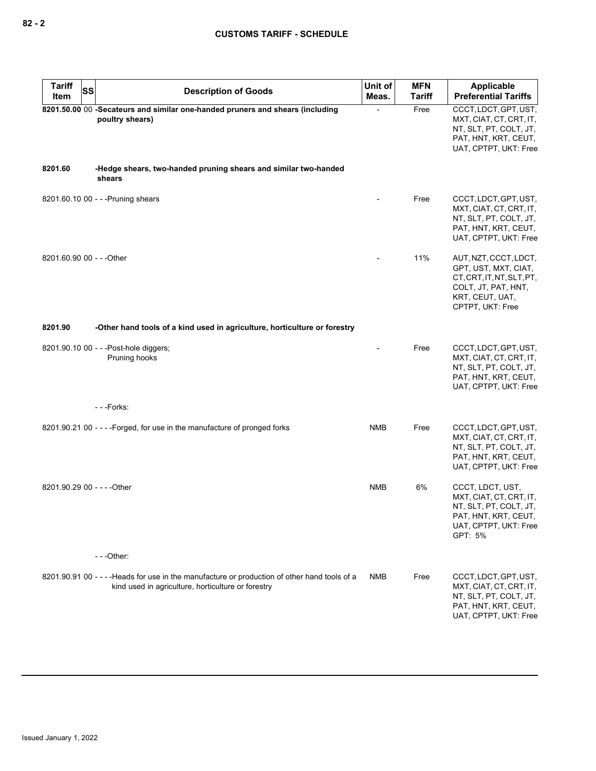| <b>Tariff</b><br>SS<br>Item | <b>Description of Goods</b>                                                                                                                         | Unit of<br>Meas. | <b>MFN</b><br><b>Tariff</b> | <b>Applicable</b><br><b>Preferential Tariffs</b>                                                                                    |
|-----------------------------|-----------------------------------------------------------------------------------------------------------------------------------------------------|------------------|-----------------------------|-------------------------------------------------------------------------------------------------------------------------------------|
|                             | 8201.50.00 00 -Secateurs and similar one-handed pruners and shears (including<br>poultry shears)                                                    |                  | Free                        | CCCT, LDCT, GPT, UST,<br>MXT, CIAT, CT, CRT, IT,<br>NT, SLT, PT, COLT, JT,<br>PAT, HNT, KRT, CEUT,<br>UAT, CPTPT, UKT: Free         |
| 8201.60                     | -Hedge shears, two-handed pruning shears and similar two-handed<br>shears                                                                           |                  |                             |                                                                                                                                     |
|                             | 8201.60.10 00 - - - Pruning shears                                                                                                                  |                  | Free                        | CCCT, LDCT, GPT, UST,<br>MXT, CIAT, CT, CRT, IT,<br>NT, SLT, PT, COLT, JT,<br>PAT, HNT, KRT, CEUT,<br>UAT, CPTPT, UKT: Free         |
| 8201.60.90 00 - - - Other   |                                                                                                                                                     |                  | 11%                         | AUT, NZT, CCCT, LDCT,<br>GPT, UST, MXT, CIAT,<br>CT.CRT.IT.NT.SLT.PT.<br>COLT, JT, PAT, HNT,<br>KRT, CEUT, UAT,<br>CPTPT, UKT: Free |
| 8201.90                     | -Other hand tools of a kind used in agriculture, horticulture or forestry                                                                           |                  |                             |                                                                                                                                     |
|                             | 8201.90.10 00 - - - Post-hole diggers;<br>Pruning hooks                                                                                             |                  | Free                        | CCCT, LDCT, GPT, UST,<br>MXT, CIAT, CT, CRT, IT,<br>NT, SLT, PT, COLT, JT,<br>PAT, HNT, KRT, CEUT,<br>UAT, CPTPT, UKT: Free         |
|                             | ---Forks:                                                                                                                                           |                  |                             |                                                                                                                                     |
|                             | 8201.90.21 00 - - - - Forged, for use in the manufacture of pronged forks                                                                           | <b>NMB</b>       | Free                        | CCCT, LDCT, GPT, UST,<br>MXT, CIAT, CT, CRT, IT,<br>NT, SLT, PT, COLT, JT,<br>PAT, HNT, KRT, CEUT,<br>UAT, CPTPT, UKT: Free         |
| 8201.90.29 00 - - - - Other |                                                                                                                                                     | <b>NMB</b>       | 6%                          | CCCT, LDCT, UST,<br>MXT, CIAT, CT, CRT, IT,<br>NT, SLT, PT, COLT, JT,<br>PAT, HNT, KRT, CEUT,<br>UAT, CPTPT, UKT: Free<br>GPT: 5%   |
|                             | ---Other:                                                                                                                                           |                  |                             |                                                                                                                                     |
|                             | 8201.90.91 00 - - - - Heads for use in the manufacture or production of other hand tools of a<br>kind used in agriculture, horticulture or forestry | <b>NMB</b>       | Free                        | CCCT, LDCT, GPT, UST,<br>MXT, CIAT, CT, CRT, IT,<br>NT, SLT, PT, COLT, JT,<br>PAT, HNT, KRT, CEUT,<br>UAT, CPTPT, UKT: Free         |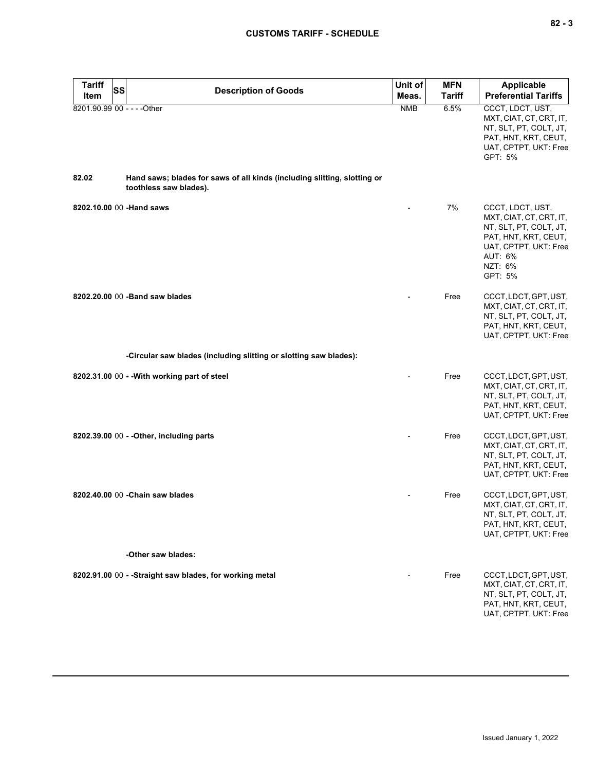| -<br>۰. |  | $\overline{\phantom{a}}$ |
|---------|--|--------------------------|
|---------|--|--------------------------|

| <b>Tariff</b><br><b>Item</b> | SS | <b>Description of Goods</b>                                                                        | Unit of<br>Meas. | <b>MFN</b><br><b>Tariff</b> | <b>Applicable</b><br><b>Preferential Tariffs</b>                                                                                                        |
|------------------------------|----|----------------------------------------------------------------------------------------------------|------------------|-----------------------------|---------------------------------------------------------------------------------------------------------------------------------------------------------|
|                              |    | 8201.90.99 00 - - - - Other                                                                        | <b>NMB</b>       | 6.5%                        | CCCT, LDCT, UST,<br>MXT, CIAT, CT, CRT, IT,<br>NT, SLT, PT, COLT, JT,<br>PAT, HNT, KRT, CEUT,<br>UAT, CPTPT, UKT: Free<br>GPT: 5%                       |
| 82.02                        |    | Hand saws; blades for saws of all kinds (including slitting, slotting or<br>toothless saw blades). |                  |                             |                                                                                                                                                         |
|                              |    | 8202.10.00 00 - Hand saws                                                                          |                  | 7%                          | CCCT, LDCT, UST,<br>MXT, CIAT, CT, CRT, IT,<br>NT, SLT, PT, COLT, JT,<br>PAT, HNT, KRT, CEUT,<br>UAT, CPTPT, UKT: Free<br>AUT: 6%<br>NZT: 6%<br>GPT: 5% |
|                              |    | 8202.20.00 00 - Band saw blades                                                                    |                  | Free                        | CCCT, LDCT, GPT, UST,<br>MXT, CIAT, CT, CRT, IT,<br>NT, SLT, PT, COLT, JT,<br>PAT, HNT, KRT, CEUT,<br>UAT, CPTPT, UKT: Free                             |
|                              |    | -Circular saw blades (including slitting or slotting saw blades):                                  |                  |                             |                                                                                                                                                         |
|                              |    | 8202.31.00 00 - - With working part of steel                                                       |                  | Free                        | CCCT, LDCT, GPT, UST,<br>MXT, CIAT, CT, CRT, IT,<br>NT, SLT, PT, COLT, JT,<br>PAT, HNT, KRT, CEUT,<br>UAT, CPTPT, UKT: Free                             |
|                              |    | 8202.39.00 00 - - Other, including parts                                                           |                  | Free                        | CCCT, LDCT, GPT, UST,<br>MXT, CIAT, CT, CRT, IT,<br>NT, SLT, PT, COLT, JT,<br>PAT, HNT, KRT, CEUT,<br>UAT, CPTPT, UKT: Free                             |
|                              |    | 8202.40.00 00 - Chain saw blades                                                                   |                  | Free                        | CCCT, LDCT, GPT, UST,<br>MXT, CIAT, CT, CRT, IT,<br>NT, SLT, PT, COLT, JT,<br>PAT, HNT, KRT, CEUT,<br>UAT, CPTPT, UKT: Free                             |
|                              |    | -Other saw blades:                                                                                 |                  |                             |                                                                                                                                                         |
|                              |    | 8202.91.00 00 - - Straight saw blades, for working metal                                           |                  | Free                        | CCCT, LDCT, GPT, UST,<br>MXT, CIAT, CT, CRT, IT,<br>NT, SLT, PT, COLT, JT,<br>PAT, HNT, KRT, CEUT,<br>UAT, CPTPT, UKT: Free                             |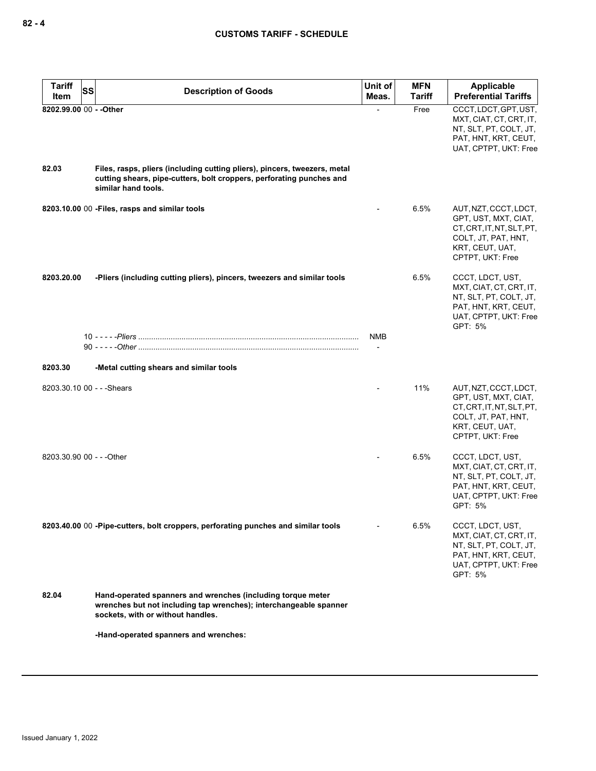| <b>Tariff</b><br>SS        | <b>Description of Goods</b>                                                                                                                                              | Unit of    | <b>MFN</b>    | <b>Applicable</b>                                                                                                                        |
|----------------------------|--------------------------------------------------------------------------------------------------------------------------------------------------------------------------|------------|---------------|------------------------------------------------------------------------------------------------------------------------------------------|
| Item                       |                                                                                                                                                                          | Meas.      | <b>Tariff</b> | <b>Preferential Tariffs</b>                                                                                                              |
| 8202.99.00 00 - - Other    |                                                                                                                                                                          |            | Free          | CCCT, LDCT, GPT, UST,<br>MXT, CIAT, CT, CRT, IT,<br>NT, SLT, PT, COLT, JT,<br>PAT, HNT, KRT, CEUT,<br>UAT, CPTPT, UKT: Free              |
| 82.03                      | Files, rasps, pliers (including cutting pliers), pincers, tweezers, metal<br>cutting shears, pipe-cutters, bolt croppers, perforating punches and<br>similar hand tools. |            |               |                                                                                                                                          |
|                            | 8203.10.00 00 - Files, rasps and similar tools                                                                                                                           |            | 6.5%          | AUT, NZT, CCCT, LDCT,<br>GPT, UST, MXT, CIAT,<br>CT, CRT, IT, NT, SLT, PT,<br>COLT, JT, PAT, HNT,<br>KRT, CEUT, UAT,<br>CPTPT, UKT: Free |
| 8203.20.00                 | -Pliers (including cutting pliers), pincers, tweezers and similar tools                                                                                                  |            | 6.5%          | CCCT, LDCT, UST,<br>MXT, CIAT, CT, CRT, IT,<br>NT, SLT, PT, COLT, JT,<br>PAT, HNT, KRT, CEUT,<br>UAT, CPTPT, UKT: Free<br>GPT: 5%        |
|                            |                                                                                                                                                                          | <b>NMB</b> |               |                                                                                                                                          |
| 8203.30                    | -Metal cutting shears and similar tools                                                                                                                                  |            |               |                                                                                                                                          |
| 8203.30.10 00 - - - Shears |                                                                                                                                                                          |            | 11%           | AUT, NZT, CCCT, LDCT,<br>GPT, UST, MXT, CIAT,<br>CT, CRT, IT, NT, SLT, PT,<br>COLT, JT, PAT, HNT,<br>KRT, CEUT, UAT,<br>CPTPT, UKT: Free |
| 8203.30.90 00 - - - Other  |                                                                                                                                                                          |            | 6.5%          | CCCT, LDCT, UST,<br>MXT, CIAT, CT, CRT, IT,<br>NT, SLT, PT, COLT, JT,<br>PAT, HNT, KRT, CEUT,<br>UAT, CPTPT, UKT: Free<br>GPT: 5%        |
|                            | 8203.40.00 00 -Pipe-cutters, bolt croppers, perforating punches and similar tools                                                                                        |            | 6.5%          | CCCT, LDCT, UST,<br>MXT, CIAT, CT, CRT, IT,<br>NT, SLT, PT, COLT, JT,<br>PAT, HNT, KRT, CEUT,<br>UAT, CPTPT, UKT: Free<br>GPT: 5%        |
| 82.04                      | Hand-operated spanners and wrenches (including torque meter<br>wrenches but not including tap wrenches); interchangeable spanner<br>sockets, with or without handles.    |            |               |                                                                                                                                          |
|                            | -Hand-operated spanners and wrenches:                                                                                                                                    |            |               |                                                                                                                                          |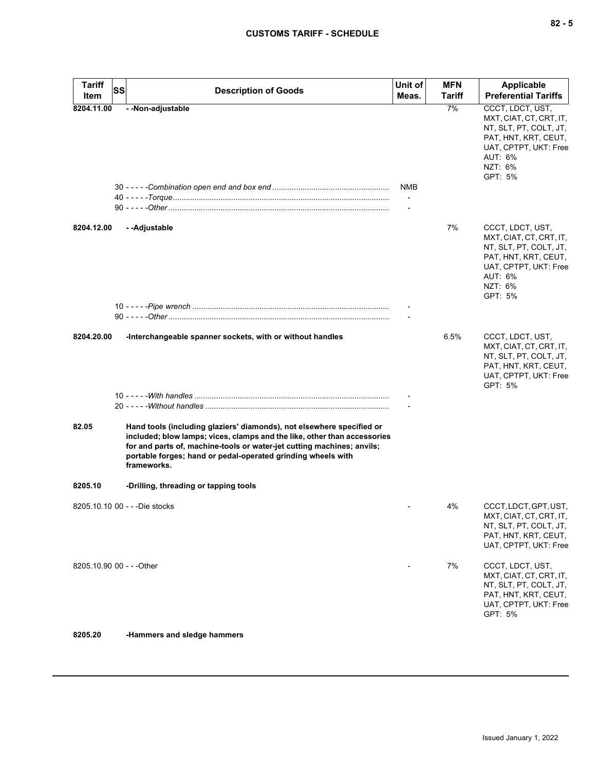| - - Non-adjustable<br>7%<br>CCCT, LDCT, UST,<br>8204.11.00<br>MXT, CIAT, CT, CRT, IT,<br>NT, SLT, PT, COLT, JT,<br>PAT, HNT, KRT, CEUT,<br>UAT, CPTPT, UKT: Free<br>AUT: 6%<br>NZT: 6%<br>GPT: 5%<br>NMB<br>7%<br>8204.12.00<br>- - Adjustable<br>CCCT, LDCT, UST,<br>MXT, CIAT, CT, CRT, IT,<br>NT, SLT, PT, COLT, JT,<br>PAT, HNT, KRT, CEUT,<br>UAT, CPTPT, UKT: Free<br>AUT: 6%<br>NZT: 6%<br>GPT: 5%<br>6.5%<br>CCCT, LDCT, UST,<br>8204.20.00<br>-Interchangeable spanner sockets, with or without handles<br>MXT, CIAT, CT, CRT, IT,<br>NT, SLT, PT, COLT, JT,<br>PAT, HNT, KRT, CEUT,<br>UAT, CPTPT, UKT: Free<br>GPT: 5%<br>82.05<br>Hand tools (including glaziers' diamonds), not elsewhere specified or<br>included; blow lamps; vices, clamps and the like, other than accessories<br>for and parts of, machine-tools or water-jet cutting machines; anvils;<br>portable forges; hand or pedal-operated grinding wheels with<br>frameworks.<br>8205.10<br>-Drilling, threading or tapping tools<br>4%<br>8205.10.10 00 - - - Die stocks<br>CCCT, LDCT, GPT, UST,<br>MXT, CIAT, CT, CRT, IT,<br>NT, SLT, PT, COLT, JT,<br>PAT, HNT, KRT, CEUT,<br>UAT, CPTPT, UKT: Free<br>8205.10.90 00 - - - Other<br>7%<br>CCCT, LDCT, UST,<br>MXT, CIAT, CT, CRT, IT,<br>NT, SLT, PT, COLT, JT,<br>PAT, HNT, KRT, CEUT,<br>UAT, CPTPT, UKT: Free<br>GPT: 5% | <b>Tariff</b><br>Item | <b>SS</b> | <b>Description of Goods</b> | Unit of<br>Meas. | <b>MFN</b><br>Tariff | <b>Applicable</b><br><b>Preferential Tariffs</b> |
|-------------------------------------------------------------------------------------------------------------------------------------------------------------------------------------------------------------------------------------------------------------------------------------------------------------------------------------------------------------------------------------------------------------------------------------------------------------------------------------------------------------------------------------------------------------------------------------------------------------------------------------------------------------------------------------------------------------------------------------------------------------------------------------------------------------------------------------------------------------------------------------------------------------------------------------------------------------------------------------------------------------------------------------------------------------------------------------------------------------------------------------------------------------------------------------------------------------------------------------------------------------------------------------------------------------------------------------------------------------|-----------------------|-----------|-----------------------------|------------------|----------------------|--------------------------------------------------|
|                                                                                                                                                                                                                                                                                                                                                                                                                                                                                                                                                                                                                                                                                                                                                                                                                                                                                                                                                                                                                                                                                                                                                                                                                                                                                                                                                             |                       |           |                             |                  |                      |                                                  |
|                                                                                                                                                                                                                                                                                                                                                                                                                                                                                                                                                                                                                                                                                                                                                                                                                                                                                                                                                                                                                                                                                                                                                                                                                                                                                                                                                             |                       |           |                             |                  |                      |                                                  |
|                                                                                                                                                                                                                                                                                                                                                                                                                                                                                                                                                                                                                                                                                                                                                                                                                                                                                                                                                                                                                                                                                                                                                                                                                                                                                                                                                             |                       |           |                             |                  |                      |                                                  |
|                                                                                                                                                                                                                                                                                                                                                                                                                                                                                                                                                                                                                                                                                                                                                                                                                                                                                                                                                                                                                                                                                                                                                                                                                                                                                                                                                             |                       |           |                             |                  |                      |                                                  |
|                                                                                                                                                                                                                                                                                                                                                                                                                                                                                                                                                                                                                                                                                                                                                                                                                                                                                                                                                                                                                                                                                                                                                                                                                                                                                                                                                             |                       |           |                             |                  |                      |                                                  |
|                                                                                                                                                                                                                                                                                                                                                                                                                                                                                                                                                                                                                                                                                                                                                                                                                                                                                                                                                                                                                                                                                                                                                                                                                                                                                                                                                             |                       |           |                             |                  |                      |                                                  |
|                                                                                                                                                                                                                                                                                                                                                                                                                                                                                                                                                                                                                                                                                                                                                                                                                                                                                                                                                                                                                                                                                                                                                                                                                                                                                                                                                             |                       |           |                             |                  |                      |                                                  |
|                                                                                                                                                                                                                                                                                                                                                                                                                                                                                                                                                                                                                                                                                                                                                                                                                                                                                                                                                                                                                                                                                                                                                                                                                                                                                                                                                             |                       |           |                             |                  |                      |                                                  |
|                                                                                                                                                                                                                                                                                                                                                                                                                                                                                                                                                                                                                                                                                                                                                                                                                                                                                                                                                                                                                                                                                                                                                                                                                                                                                                                                                             |                       |           |                             |                  |                      |                                                  |
|                                                                                                                                                                                                                                                                                                                                                                                                                                                                                                                                                                                                                                                                                                                                                                                                                                                                                                                                                                                                                                                                                                                                                                                                                                                                                                                                                             |                       |           |                             |                  |                      |                                                  |
|                                                                                                                                                                                                                                                                                                                                                                                                                                                                                                                                                                                                                                                                                                                                                                                                                                                                                                                                                                                                                                                                                                                                                                                                                                                                                                                                                             | 8205.20               |           | -Hammers and sledge hammers |                  |                      |                                                  |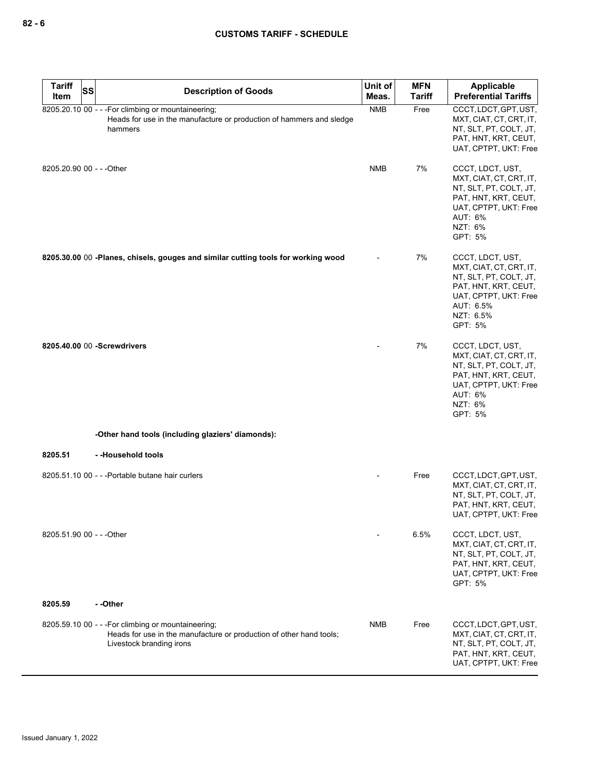| <b>Tariff</b>             | SS | <b>Description of Goods</b>                                                                                                                            | Unit of    | <b>MFN</b>    | <b>Applicable</b>                                                                                                                                           |
|---------------------------|----|--------------------------------------------------------------------------------------------------------------------------------------------------------|------------|---------------|-------------------------------------------------------------------------------------------------------------------------------------------------------------|
| Item                      |    |                                                                                                                                                        | Meas.      | <b>Tariff</b> | <b>Preferential Tariffs</b>                                                                                                                                 |
|                           |    | 8205.20.10 00 - - - For climbing or mountaineering;<br>Heads for use in the manufacture or production of hammers and sledge<br>hammers                 | <b>NMB</b> | Free          | CCCT, LDCT, GPT, UST,<br>MXT, CIAT, CT, CRT, IT,<br>NT, SLT, PT, COLT, JT,<br>PAT, HNT, KRT, CEUT,<br>UAT, CPTPT, UKT: Free                                 |
| 8205.20.90 00 - - - Other |    |                                                                                                                                                        | <b>NMB</b> | 7%            | CCCT, LDCT, UST,<br>MXT, CIAT, CT, CRT, IT,<br>NT, SLT, PT, COLT, JT,<br>PAT, HNT, KRT, CEUT,<br>UAT, CPTPT, UKT: Free<br>AUT: 6%<br>NZT: 6%<br>GPT: 5%     |
|                           |    | 8205.30.00 00 -Planes, chisels, gouges and similar cutting tools for working wood                                                                      |            | 7%            | CCCT, LDCT, UST,<br>MXT, CIAT, CT, CRT, IT,<br>NT, SLT, PT, COLT, JT,<br>PAT, HNT, KRT, CEUT,<br>UAT, CPTPT, UKT: Free<br>AUT: 6.5%<br>NZT: 6.5%<br>GPT: 5% |
|                           |    | 8205.40.00 00 -Screwdrivers                                                                                                                            |            | 7%            | CCCT, LDCT, UST,<br>MXT, CIAT, CT, CRT, IT,<br>NT, SLT, PT, COLT, JT,<br>PAT, HNT, KRT, CEUT,<br>UAT, CPTPT, UKT: Free<br>AUT: 6%<br>NZT: 6%<br>GPT: 5%     |
|                           |    | -Other hand tools (including glaziers' diamonds):                                                                                                      |            |               |                                                                                                                                                             |
| 8205.51                   |    | --Household tools                                                                                                                                      |            |               |                                                                                                                                                             |
|                           |    | 8205.51.10 00 - - - Portable butane hair curlers                                                                                                       |            | Free          | CCCT, LDCT, GPT, UST,<br>MXT, CIAT, CT, CRT, IT,<br>NT, SLT, PT, COLT, JT,<br>PAT, HNT, KRT, CEUT,<br>UAT, CPTPT, UKT: Free                                 |
| 8205.51.90 00 - - - Other |    |                                                                                                                                                        |            | 6.5%          | CCCT, LDCT, UST,<br>MXT, CIAT, CT, CRT, IT,<br>NT, SLT, PT, COLT, JT,<br>PAT, HNT, KRT, CEUT,<br>UAT, CPTPT, UKT: Free<br>GPT: 5%                           |
| 8205.59                   |    | - -Other                                                                                                                                               |            |               |                                                                                                                                                             |
|                           |    | 8205.59.10 00 - - - For climbing or mountaineering;<br>Heads for use in the manufacture or production of other hand tools;<br>Livestock branding irons | NMB        | Free          | CCCT, LDCT, GPT, UST,<br>MXT, CIAT, CT, CRT, IT,<br>NT, SLT, PT, COLT, JT,<br>PAT, HNT, KRT, CEUT,<br>UAT, CPTPT, UKT: Free                                 |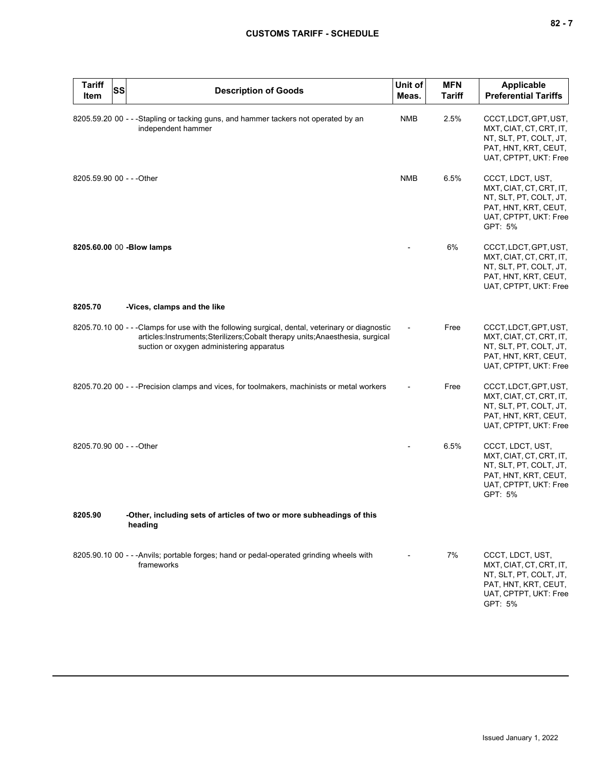| <b>Tariff</b><br>Item     | <b>SS</b> | <b>Description of Goods</b>                                                                                                                                                                                                  | Unit of<br>Meas. | <b>MFN</b><br><b>Tariff</b> | Applicable<br><b>Preferential Tariffs</b>                                                                                         |
|---------------------------|-----------|------------------------------------------------------------------------------------------------------------------------------------------------------------------------------------------------------------------------------|------------------|-----------------------------|-----------------------------------------------------------------------------------------------------------------------------------|
|                           |           | 8205.59.20 00 - - -Stapling or tacking guns, and hammer tackers not operated by an<br>independent hammer                                                                                                                     | <b>NMB</b>       | 2.5%                        | CCCT, LDCT, GPT, UST,<br>MXT, CIAT, CT, CRT, IT,<br>NT, SLT, PT, COLT, JT,<br>PAT, HNT, KRT, CEUT,<br>UAT, CPTPT, UKT: Free       |
| 8205.59.90 00 - - - Other |           |                                                                                                                                                                                                                              | <b>NMB</b>       | 6.5%                        | CCCT, LDCT, UST,<br>MXT, CIAT, CT, CRT, IT,<br>NT, SLT, PT, COLT, JT,<br>PAT, HNT, KRT, CEUT,<br>UAT, CPTPT, UKT: Free<br>GPT: 5% |
|                           |           | 8205.60.00 00 - Blow lamps                                                                                                                                                                                                   |                  | 6%                          | CCCT, LDCT, GPT, UST,<br>MXT, CIAT, CT, CRT, IT,<br>NT, SLT, PT, COLT, JT,<br>PAT, HNT, KRT, CEUT,<br>UAT, CPTPT, UKT: Free       |
| 8205.70                   |           | -Vices, clamps and the like                                                                                                                                                                                                  |                  |                             |                                                                                                                                   |
|                           |           | 8205.70.10 00 - - - Clamps for use with the following surgical, dental, veterinary or diagnostic<br>articles:Instruments;Sterilizers;Cobalt therapy units;Anaesthesia, surgical<br>suction or oxygen administering apparatus |                  | Free                        | CCCT, LDCT, GPT, UST,<br>MXT, CIAT, CT, CRT, IT,<br>NT, SLT, PT, COLT, JT,<br>PAT, HNT, KRT, CEUT,<br>UAT, CPTPT, UKT: Free       |
|                           |           | 8205.70.20 00 - - - Precision clamps and vices, for toolmakers, machinists or metal workers                                                                                                                                  |                  | Free                        | CCCT, LDCT, GPT, UST,<br>MXT, CIAT, CT, CRT, IT,<br>NT, SLT, PT, COLT, JT,<br>PAT, HNT, KRT, CEUT,<br>UAT, CPTPT, UKT: Free       |
| 8205.70.90 00 - - - Other |           |                                                                                                                                                                                                                              |                  | 6.5%                        | CCCT, LDCT, UST,<br>MXT, CIAT, CT, CRT, IT,<br>NT, SLT, PT, COLT, JT,<br>PAT, HNT, KRT, CEUT,<br>UAT, CPTPT, UKT: Free<br>GPT: 5% |
| 8205.90                   |           | -Other, including sets of articles of two or more subheadings of this<br>heading                                                                                                                                             |                  |                             |                                                                                                                                   |
|                           |           | 8205.90.10 00 - - - Anvils; portable forges; hand or pedal-operated grinding wheels with<br>frameworks                                                                                                                       |                  | 7%                          | CCCT, LDCT, UST,<br>MXT, CIAT, CT, CRT, IT,<br>NT, SLT, PT, COLT, JT,<br>PAT, HNT, KRT, CEUT,<br>UAT, CPTPT, UKT: Free<br>GPT: 5% |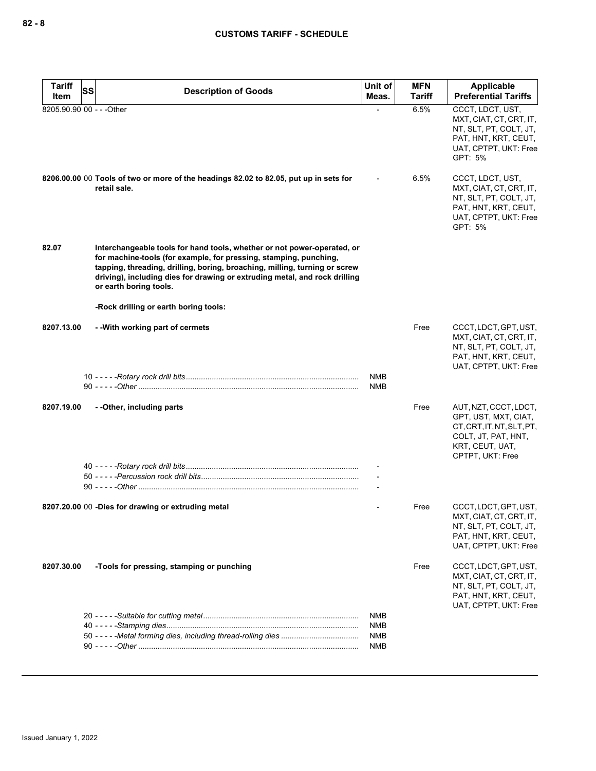| <b>Tariff</b>             | <b>SS</b><br><b>Description of Goods</b>                                                                                                                                                                                                                                                                                           | Unit of                                              | <b>MFN</b>    | Applicable                                                                                                                               |
|---------------------------|------------------------------------------------------------------------------------------------------------------------------------------------------------------------------------------------------------------------------------------------------------------------------------------------------------------------------------|------------------------------------------------------|---------------|------------------------------------------------------------------------------------------------------------------------------------------|
| Item                      |                                                                                                                                                                                                                                                                                                                                    | Meas.                                                | <b>Tariff</b> | <b>Preferential Tariffs</b>                                                                                                              |
| 8205.90.90 00 - - - Other |                                                                                                                                                                                                                                                                                                                                    |                                                      | 6.5%          | CCCT, LDCT, UST,<br>MXT, CIAT, CT, CRT, IT,<br>NT, SLT, PT, COLT, JT,<br>PAT, HNT, KRT, CEUT,<br>UAT, CPTPT, UKT: Free<br>GPT: 5%        |
|                           | 8206.00.00 00 Tools of two or more of the headings 82.02 to 82.05, put up in sets for<br>retail sale.                                                                                                                                                                                                                              |                                                      | 6.5%          | CCCT, LDCT, UST,<br>MXT, CIAT, CT, CRT, IT,<br>NT, SLT, PT, COLT, JT,<br>PAT, HNT, KRT, CEUT,<br>UAT, CPTPT, UKT: Free<br>GPT: 5%        |
| 82.07                     | Interchangeable tools for hand tools, whether or not power-operated, or<br>for machine-tools (for example, for pressing, stamping, punching,<br>tapping, threading, drilling, boring, broaching, milling, turning or screw<br>driving), including dies for drawing or extruding metal, and rock drilling<br>or earth boring tools. |                                                      |               |                                                                                                                                          |
|                           | -Rock drilling or earth boring tools:                                                                                                                                                                                                                                                                                              |                                                      |               |                                                                                                                                          |
| 8207.13.00                | -- With working part of cermets                                                                                                                                                                                                                                                                                                    |                                                      | Free          | CCCT, LDCT, GPT, UST,<br>MXT, CIAT, CT, CRT, IT,<br>NT, SLT, PT, COLT, JT,<br>PAT, HNT, KRT, CEUT,<br>UAT, CPTPT, UKT: Free              |
|                           |                                                                                                                                                                                                                                                                                                                                    | <b>NMB</b><br><b>NMB</b>                             |               |                                                                                                                                          |
| 8207.19.00                | - - Other, including parts                                                                                                                                                                                                                                                                                                         |                                                      | Free          | AUT, NZT, CCCT, LDCT,<br>GPT, UST, MXT, CIAT,<br>CT, CRT, IT, NT, SLT, PT,<br>COLT, JT, PAT, HNT,<br>KRT, CEUT, UAT,<br>CPTPT, UKT: Free |
|                           |                                                                                                                                                                                                                                                                                                                                    |                                                      |               |                                                                                                                                          |
|                           | 8207.20.00 00 -Dies for drawing or extruding metal                                                                                                                                                                                                                                                                                 |                                                      | Free          | CCCT, LDCT, GPT, UST,<br>MXT, CIAT, CT, CRT, IT,<br>NT, SLT, PT, COLT, JT,<br>PAT, HNT, KRT, CEUT,<br>UAT, CPTPT, UKT: Free              |
| 8207.30.00                | -Tools for pressing, stamping or punching                                                                                                                                                                                                                                                                                          |                                                      | Free          | CCCT, LDCT, GPT, UST,<br>MXT, CIAT, CT, CRT, IT,<br>NT, SLT, PT, COLT, JT,<br>PAT, HNT, KRT, CEUT,<br>UAT, CPTPT, UKT: Free              |
|                           |                                                                                                                                                                                                                                                                                                                                    | <b>NMB</b><br><b>NMB</b><br><b>NMB</b><br><b>NMB</b> |               |                                                                                                                                          |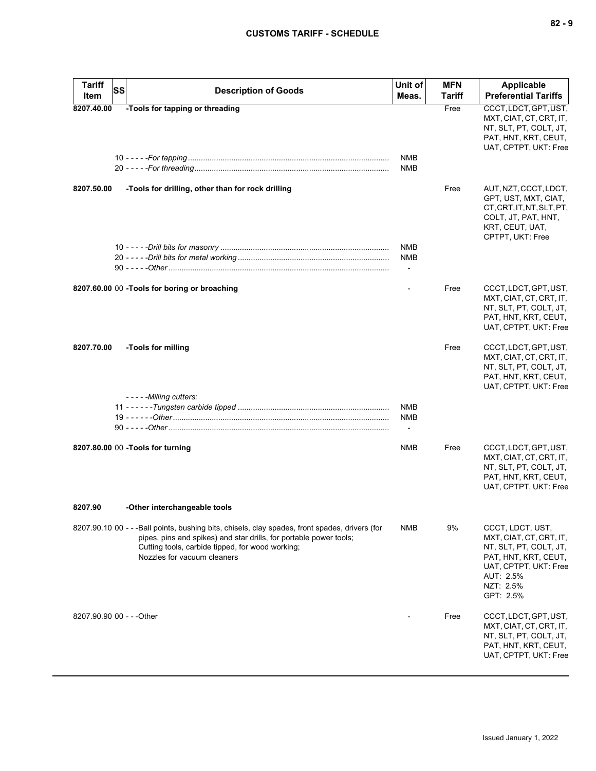| <b>Tariff</b><br><b>SS</b><br>Item | <b>Description of Goods</b>                                                                                                                                                                                                                             | Unit of<br>Meas.                                     | <b>MFN</b><br>Tariff | <b>Applicable</b><br><b>Preferential Tariffs</b>                                                                                                              |
|------------------------------------|---------------------------------------------------------------------------------------------------------------------------------------------------------------------------------------------------------------------------------------------------------|------------------------------------------------------|----------------------|---------------------------------------------------------------------------------------------------------------------------------------------------------------|
| 8207.40.00                         | -Tools for tapping or threading                                                                                                                                                                                                                         | <b>NMB</b><br><b>NMB</b>                             | Free                 | CCCT, LDCT, GPT, UST,<br>MXT, CIAT, CT, CRT, IT,<br>NT, SLT, PT, COLT, JT,<br>PAT, HNT, KRT, CEUT,<br>UAT, CPTPT, UKT: Free                                   |
| 8207.50.00                         | -Tools for drilling, other than for rock drilling                                                                                                                                                                                                       |                                                      | Free                 | AUT, NZT, CCCT, LDCT,<br>GPT, UST, MXT, CIAT,<br>CT, CRT, IT, NT, SLT, PT,<br>COLT, JT, PAT, HNT,<br>KRT, CEUT, UAT,<br>CPTPT, UKT: Free                      |
|                                    |                                                                                                                                                                                                                                                         | <b>NMB</b><br><b>NMB</b><br>$\overline{\phantom{a}}$ |                      |                                                                                                                                                               |
|                                    | 8207.60.00 00 -Tools for boring or broaching                                                                                                                                                                                                            | $\blacksquare$                                       | Free                 | CCCT, LDCT, GPT, UST,<br>MXT, CIAT, CT, CRT, IT,<br>NT, SLT, PT, COLT, JT,<br>PAT, HNT, KRT, CEUT,<br>UAT, CPTPT, UKT: Free                                   |
| 8207.70.00                         | -Tools for milling                                                                                                                                                                                                                                      |                                                      | Free                 | CCCT, LDCT, GPT, UST,<br>MXT, CIAT, CT, CRT, IT,<br>NT, SLT, PT, COLT, JT,<br>PAT, HNT, KRT, CEUT,<br>UAT, CPTPT, UKT: Free                                   |
|                                    | - - - - - Milling cutters:                                                                                                                                                                                                                              | <b>NMB</b><br><b>NMB</b><br>$\blacksquare$           |                      |                                                                                                                                                               |
|                                    | 8207.80.00 00 -Tools for turning                                                                                                                                                                                                                        | <b>NMB</b>                                           | Free                 | CCCT, LDCT, GPT, UST,<br>MXT, CIAT, CT, CRT, IT,<br>NT, SLT, PT, COLT, JT,<br>PAT, HNT, KRT, CEUT,<br>UAT, CPTPT, UKT: Free                                   |
| 8207.90                            | -Other interchangeable tools                                                                                                                                                                                                                            |                                                      |                      |                                                                                                                                                               |
|                                    | 8207.90.10 00 - - -Ball points, bushing bits, chisels, clay spades, front spades, drivers (for<br>pipes, pins and spikes) and star drills, for portable power tools;<br>Cutting tools, carbide tipped, for wood working;<br>Nozzles for vacuum cleaners | <b>NMB</b>                                           | 9%                   | CCCT, LDCT, UST,<br>MXT, CIAT, CT, CRT, IT,<br>NT, SLT, PT, COLT, JT,<br>PAT, HNT, KRT, CEUT,<br>UAT, CPTPT, UKT: Free<br>AUT: 2.5%<br>NZT: 2.5%<br>GPT: 2.5% |
| 8207.90.90 00 - - - Other          |                                                                                                                                                                                                                                                         |                                                      | Free                 | CCCT, LDCT, GPT, UST,<br>MXT, CIAT, CT, CRT, IT,<br>NT, SLT, PT, COLT, JT,<br>PAT, HNT, KRT, CEUT,<br>UAT, CPTPT, UKT: Free                                   |

Issued January 1, 2022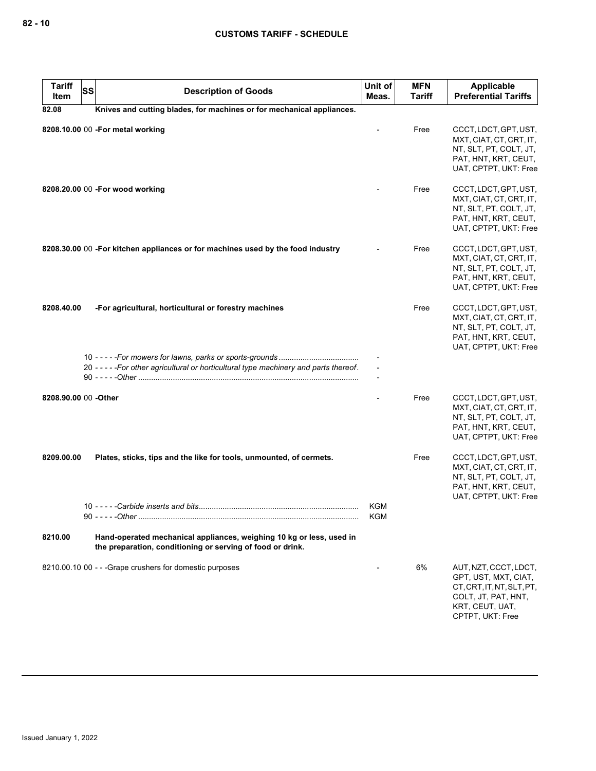| <b>Tariff</b><br>Item | <b>SS</b> | <b>Description of Goods</b>                                                                                                        | Unit of<br>Meas. | <b>MFN</b><br><b>Tariff</b> | <b>Applicable</b><br><b>Preferential Tariffs</b>                                                                                         |
|-----------------------|-----------|------------------------------------------------------------------------------------------------------------------------------------|------------------|-----------------------------|------------------------------------------------------------------------------------------------------------------------------------------|
| 82.08                 |           | Knives and cutting blades, for machines or for mechanical appliances.                                                              |                  |                             |                                                                                                                                          |
|                       |           | 8208.10.00 00 -For metal working                                                                                                   |                  | Free                        | CCCT, LDCT, GPT, UST,<br>MXT, CIAT, CT, CRT, IT,<br>NT, SLT, PT, COLT, JT,<br>PAT, HNT, KRT, CEUT,<br>UAT, CPTPT, UKT: Free              |
|                       |           | 8208.20.00 00 -For wood working                                                                                                    |                  | Free                        | CCCT, LDCT, GPT, UST,<br>MXT, CIAT, CT, CRT, IT,<br>NT, SLT, PT, COLT, JT,<br>PAT, HNT, KRT, CEUT,<br>UAT, CPTPT, UKT: Free              |
|                       |           | 8208.30.00 00 -For kitchen appliances or for machines used by the food industry                                                    |                  | Free                        | CCCT, LDCT, GPT, UST,<br>MXT, CIAT, CT, CRT, IT,<br>NT, SLT, PT, COLT, JT,<br>PAT, HNT, KRT, CEUT,<br>UAT, CPTPT, UKT: Free              |
| 8208.40.00            |           | -For agricultural, horticultural or forestry machines                                                                              |                  | Free                        | CCCT, LDCT, GPT, UST,<br>MXT, CIAT, CT, CRT, IT,<br>NT, SLT, PT, COLT, JT,<br>PAT, HNT, KRT, CEUT,<br>UAT, CPTPT, UKT: Free              |
|                       |           | 20 - - - - - For other agricultural or horticultural type machinery and parts thereof.                                             |                  |                             |                                                                                                                                          |
| 8208.90.00 00 -Other  |           |                                                                                                                                    |                  | Free                        | CCCT, LDCT, GPT, UST,<br>MXT, CIAT, CT, CRT, IT,<br>NT, SLT, PT, COLT, JT,<br>PAT, HNT, KRT, CEUT,<br>UAT, CPTPT, UKT: Free              |
| 8209.00.00            |           | Plates, sticks, tips and the like for tools, unmounted, of cermets.                                                                |                  | Free                        | CCCT, LDCT, GPT, UST,<br>MXT, CIAT, CT, CRT, IT,<br>NT, SLT, PT, COLT, JT,<br>PAT, HNT, KRT, CEUT,<br>UAT, CPTPT, UKT: Free              |
|                       |           |                                                                                                                                    | KGM<br>KGM       |                             |                                                                                                                                          |
| 8210.00               |           | Hand-operated mechanical appliances, weighing 10 kg or less, used in<br>the preparation, conditioning or serving of food or drink. |                  |                             |                                                                                                                                          |
|                       |           | 8210.00.10 00 - - - Grape crushers for domestic purposes                                                                           |                  | 6%                          | AUT, NZT, CCCT, LDCT,<br>GPT, UST, MXT, CIAT,<br>CT, CRT, IT, NT, SLT, PT,<br>COLT, JT, PAT, HNT,<br>KRT, CEUT, UAT,<br>CPTPT, UKT: Free |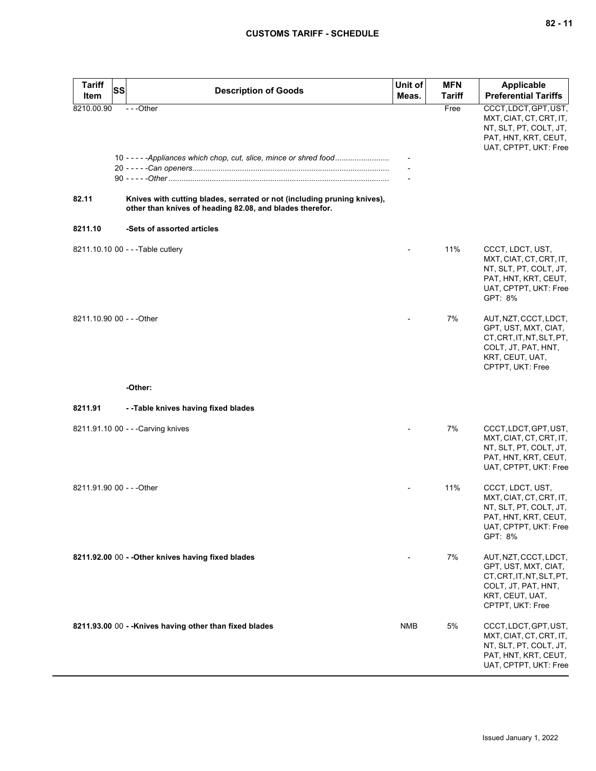| <b>Tariff</b>       | <b>SS</b><br><b>Description of Goods</b>                                                                                                                                                                                  | Unit of    | <b>MFN</b>    | <b>Applicable</b>                                                                                                                        |
|---------------------|---------------------------------------------------------------------------------------------------------------------------------------------------------------------------------------------------------------------------|------------|---------------|------------------------------------------------------------------------------------------------------------------------------------------|
| Item                |                                                                                                                                                                                                                           | Meas.      | <b>Tariff</b> | <b>Preferential Tariffs</b>                                                                                                              |
| 8210.00.90<br>82.11 | $- -$ Other<br>10 - - - - - Appliances which chop, cut, slice, mince or shred food<br>Knives with cutting blades, serrated or not (including pruning knives),<br>other than knives of heading 82.08, and blades therefor. |            | Free          | CCCT, LDCT, GPT, UST,<br>MXT, CIAT, CT, CRT, IT,<br>NT, SLT, PT, COLT, JT,<br>PAT, HNT, KRT, CEUT,<br>UAT, CPTPT, UKT: Free              |
| 8211.10             | -Sets of assorted articles                                                                                                                                                                                                |            |               |                                                                                                                                          |
|                     | 8211.10.10 00 - - - Table cutlery                                                                                                                                                                                         |            | 11%           | CCCT, LDCT, UST,<br>MXT, CIAT, CT, CRT, IT,<br>NT, SLT, PT, COLT, JT,<br>PAT, HNT, KRT, CEUT,<br>UAT, CPTPT, UKT: Free<br>GPT: 8%        |
|                     | 8211.10.90 00 - - - Other                                                                                                                                                                                                 |            | 7%            | AUT, NZT, CCCT, LDCT,<br>GPT, UST, MXT, CIAT,<br>CT, CRT, IT, NT, SLT, PT,<br>COLT, JT, PAT, HNT,<br>KRT, CEUT, UAT,<br>CPTPT, UKT: Free |
|                     | -Other:                                                                                                                                                                                                                   |            |               |                                                                                                                                          |
| 8211.91             | --Table knives having fixed blades                                                                                                                                                                                        |            |               |                                                                                                                                          |
|                     | 8211.91.10 00 - - - Carving knives                                                                                                                                                                                        |            | 7%            | CCCT, LDCT, GPT, UST,<br>MXT, CIAT, CT, CRT, IT,<br>NT, SLT, PT, COLT, JT,<br>PAT, HNT, KRT, CEUT,<br>UAT, CPTPT, UKT: Free              |
|                     | 8211.91.90 00 - - - Other                                                                                                                                                                                                 |            | 11%           | CCCT, LDCT, UST,<br>MXT, CIAT, CT, CRT, IT,<br>NT, SLT, PT, COLT, JT,<br>PAT, HNT, KRT, CEUT,<br>UAT, CPTPT, UKT: Free<br>GPT: 8%        |
|                     | 8211.92.00 00 - - Other knives having fixed blades                                                                                                                                                                        |            | 7%            | AUT, NZT, CCCT, LDCT,<br>GPT, UST, MXT, CIAT,<br>CT, CRT, IT, NT, SLT, PT,<br>COLT, JT, PAT, HNT,<br>KRT, CEUT, UAT,<br>CPTPT, UKT: Free |
|                     | 8211.93.00 00 - - Knives having other than fixed blades                                                                                                                                                                   | <b>NMB</b> | 5%            | CCCT, LDCT, GPT, UST,<br>MXT, CIAT, CT, CRT, IT,<br>NT, SLT, PT, COLT, JT,<br>PAT, HNT, KRT, CEUT,<br>UAT, CPTPT, UKT: Free              |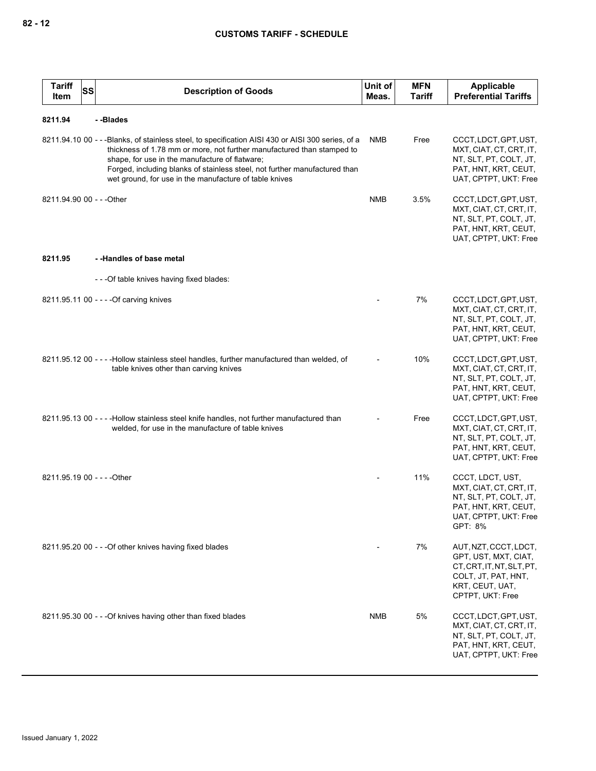| <b>Tariff</b><br>ltem     | <b>SS</b> | <b>Description of Goods</b>                                                                                                                                                                                                                                                                                                                                            | Unit of<br>Meas. | <b>MFN</b><br>Tariff | Applicable<br><b>Preferential Tariffs</b>                                                                                                |
|---------------------------|-----------|------------------------------------------------------------------------------------------------------------------------------------------------------------------------------------------------------------------------------------------------------------------------------------------------------------------------------------------------------------------------|------------------|----------------------|------------------------------------------------------------------------------------------------------------------------------------------|
| 8211.94                   |           | --Blades                                                                                                                                                                                                                                                                                                                                                               |                  |                      |                                                                                                                                          |
|                           |           | 8211.94.10 00 - - - Blanks, of stainless steel, to specification AISI 430 or AISI 300 series, of a<br>thickness of 1.78 mm or more, not further manufactured than stamped to<br>shape, for use in the manufacture of flatware;<br>Forged, including blanks of stainless steel, not further manufactured than<br>wet ground, for use in the manufacture of table knives | <b>NMB</b>       | Free                 | CCCT, LDCT, GPT, UST,<br>MXT, CIAT, CT, CRT, IT,<br>NT, SLT, PT, COLT, JT,<br>PAT, HNT, KRT, CEUT,<br>UAT, CPTPT, UKT: Free              |
| 8211.94.90 00 - - - Other |           |                                                                                                                                                                                                                                                                                                                                                                        | <b>NMB</b>       | 3.5%                 | CCCT, LDCT, GPT, UST,<br>MXT, CIAT, CT, CRT, IT,<br>NT, SLT, PT, COLT, JT,<br>PAT, HNT, KRT, CEUT,<br>UAT, CPTPT, UKT: Free              |
| 8211.95                   |           | --Handles of base metal                                                                                                                                                                                                                                                                                                                                                |                  |                      |                                                                                                                                          |
|                           |           | ---Of table knives having fixed blades:                                                                                                                                                                                                                                                                                                                                |                  |                      |                                                                                                                                          |
|                           |           | 8211.95.11 00 - - - - Of carving knives                                                                                                                                                                                                                                                                                                                                |                  | 7%                   | CCCT, LDCT, GPT, UST,<br>MXT, CIAT, CT, CRT, IT,<br>NT, SLT, PT, COLT, JT,<br>PAT, HNT, KRT, CEUT,<br>UAT, CPTPT, UKT: Free              |
|                           |           | 8211.95.12 00 - - - - Hollow stainless steel handles, further manufactured than welded, of<br>table knives other than carving knives                                                                                                                                                                                                                                   |                  | 10%                  | CCCT, LDCT, GPT, UST,<br>MXT, CIAT, CT, CRT, IT,<br>NT, SLT, PT, COLT, JT,<br>PAT, HNT, KRT, CEUT,<br>UAT, CPTPT, UKT: Free              |
|                           |           | 8211.95.13 00 - - - - Hollow stainless steel knife handles, not further manufactured than<br>welded, for use in the manufacture of table knives                                                                                                                                                                                                                        |                  | Free                 | CCCT, LDCT, GPT, UST,<br>MXT, CIAT, CT, CRT, IT,<br>NT, SLT, PT, COLT, JT,<br>PAT, HNT, KRT, CEUT,<br>UAT, CPTPT, UKT: Free              |
|                           |           | 8211.95.19 00 - - - - Other                                                                                                                                                                                                                                                                                                                                            |                  | 11%                  | CCCT, LDCT, UST,<br>MXT, CIAT, CT, CRT, IT,<br>NT, SLT, PT, COLT, JT,<br>PAT, HNT, KRT, CEUT,<br>UAT, CPTPT, UKT: Free<br>GPT: 8%        |
|                           |           | 8211.95.20 00 - - - Of other knives having fixed blades                                                                                                                                                                                                                                                                                                                |                  | 7%                   | AUT, NZT, CCCT, LDCT,<br>GPT, UST, MXT, CIAT,<br>CT, CRT, IT, NT, SLT, PT,<br>COLT, JT, PAT, HNT,<br>KRT, CEUT, UAT,<br>CPTPT, UKT: Free |
|                           |           | 8211.95.30 00 - - - Of knives having other than fixed blades                                                                                                                                                                                                                                                                                                           | NMB              | 5%                   | CCCT, LDCT, GPT, UST,<br>MXT, CIAT, CT, CRT, IT,<br>NT, SLT, PT, COLT, JT,<br>PAT, HNT, KRT, CEUT,<br>UAT, CPTPT, UKT: Free              |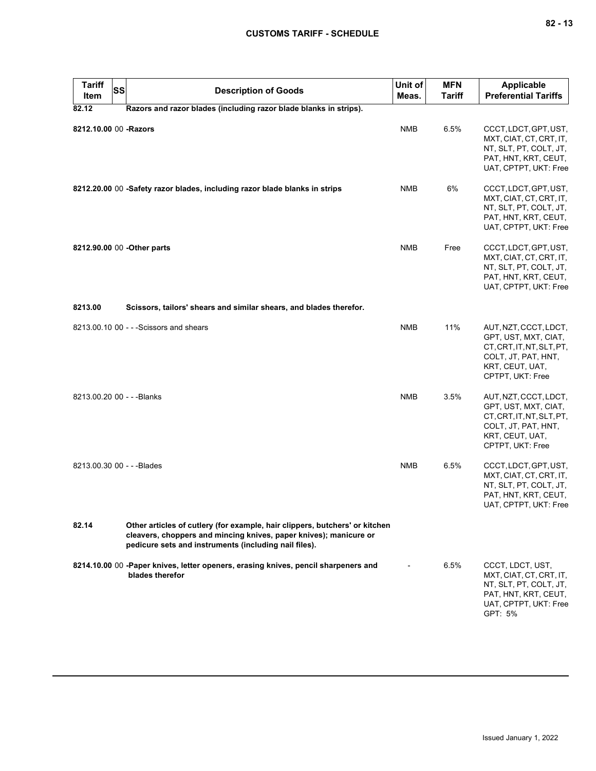# **CUSTOMS TARIFF - SCHEDULE**

| <b>Tariff</b><br><b>SS</b><br>Item | <b>Description of Goods</b>                                                                                                                                                                               | Unit of<br>Meas. | <b>MFN</b><br>Tariff | <b>Applicable</b><br><b>Preferential Tariffs</b>                                                                                         |
|------------------------------------|-----------------------------------------------------------------------------------------------------------------------------------------------------------------------------------------------------------|------------------|----------------------|------------------------------------------------------------------------------------------------------------------------------------------|
| 82.12                              | Razors and razor blades (including razor blade blanks in strips).                                                                                                                                         |                  |                      |                                                                                                                                          |
| 8212.10.00 00 -Razors              |                                                                                                                                                                                                           | <b>NMB</b>       | 6.5%                 | CCCT, LDCT, GPT, UST,<br>MXT, CIAT, CT, CRT, IT,<br>NT, SLT, PT, COLT, JT,<br>PAT, HNT, KRT, CEUT,<br>UAT, CPTPT, UKT: Free              |
|                                    | 8212.20.00 00 -Safety razor blades, including razor blade blanks in strips                                                                                                                                | <b>NMB</b>       | 6%                   | CCCT, LDCT, GPT, UST,<br>MXT, CIAT, CT, CRT, IT,<br>NT, SLT, PT, COLT, JT,<br>PAT, HNT, KRT, CEUT,<br>UAT, CPTPT, UKT: Free              |
|                                    | 8212.90.00 00 - Other parts                                                                                                                                                                               | <b>NMB</b>       | Free                 | CCCT, LDCT, GPT, UST,<br>MXT, CIAT, CT, CRT, IT,<br>NT, SLT, PT, COLT, JT,<br>PAT, HNT, KRT, CEUT,<br>UAT, CPTPT, UKT: Free              |
| 8213.00                            | Scissors, tailors' shears and similar shears, and blades therefor.                                                                                                                                        |                  |                      |                                                                                                                                          |
|                                    | 8213.00.10 00 - - - Scissors and shears                                                                                                                                                                   | <b>NMB</b>       | 11%                  | AUT, NZT, CCCT, LDCT,<br>GPT, UST, MXT, CIAT,<br>CT, CRT, IT, NT, SLT, PT,<br>COLT, JT, PAT, HNT,<br>KRT, CEUT, UAT,<br>CPTPT, UKT: Free |
| 8213.00.20 00 - - - Blanks         |                                                                                                                                                                                                           | <b>NMB</b>       | 3.5%                 | AUT, NZT, CCCT, LDCT,<br>GPT, UST, MXT, CIAT,<br>CT, CRT, IT, NT, SLT, PT,<br>COLT, JT, PAT, HNT,<br>KRT, CEUT, UAT,<br>CPTPT, UKT: Free |
| 8213.00.30 00 - - - Blades         |                                                                                                                                                                                                           | <b>NMB</b>       | 6.5%                 | CCCT, LDCT, GPT, UST,<br>MXT, CIAT, CT, CRT, IT,<br>NT, SLT, PT, COLT, JT,<br>PAT, HNT, KRT, CEUT,<br>UAT, CPTPT, UKT: Free              |
| 82.14                              | Other articles of cutlery (for example, hair clippers, butchers' or kitchen<br>cleavers, choppers and mincing knives, paper knives); manicure or<br>pedicure sets and instruments (including nail files). |                  |                      |                                                                                                                                          |
|                                    | 8214.10.00 00 -Paper knives, letter openers, erasing knives, pencil sharpeners and<br>blades therefor                                                                                                     |                  | 6.5%                 | CCCT, LDCT, UST,<br>MXT, CIAT, CT, CRT, IT,<br>NT, SLT, PT, COLT, JT,<br>PAT, HNT, KRT, CEUT,<br>UAT, CPTPT, UKT: Free<br>GPT: 5%        |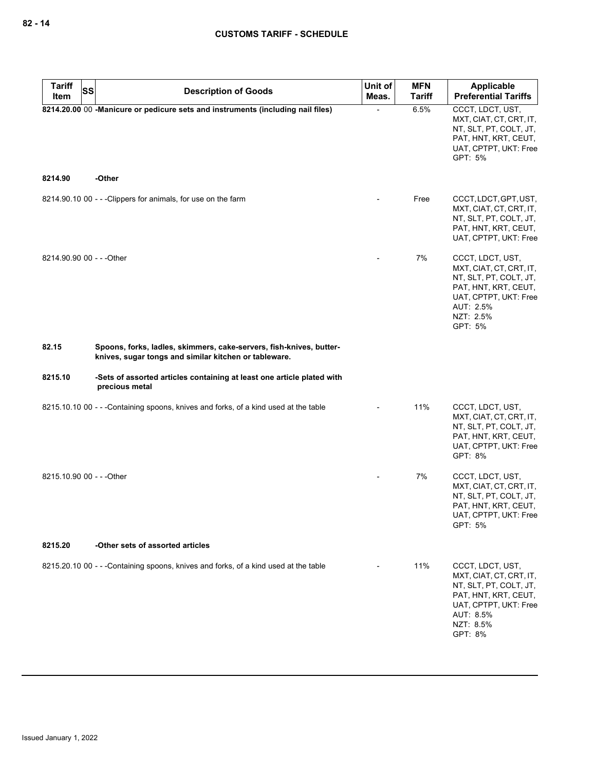| <b>Tariff</b><br><b>SS</b><br>Item | <b>Description of Goods</b>                                                                                                  | Unit of<br>Meas. | <b>MFN</b><br><b>Tariff</b> | <b>Applicable</b><br><b>Preferential Tariffs</b>                                                                                                            |
|------------------------------------|------------------------------------------------------------------------------------------------------------------------------|------------------|-----------------------------|-------------------------------------------------------------------------------------------------------------------------------------------------------------|
|                                    | 8214.20.00 00 -Manicure or pedicure sets and instruments (including nail files)                                              |                  | 6.5%                        | CCCT, LDCT, UST,<br>MXT, CIAT, CT, CRT, IT,<br>NT, SLT, PT, COLT, JT,<br>PAT, HNT, KRT, CEUT,<br>UAT, CPTPT, UKT: Free<br>GPT: 5%                           |
| 8214.90                            | -Other                                                                                                                       |                  |                             |                                                                                                                                                             |
|                                    | 8214.90.10 00 - - - Clippers for animals, for use on the farm                                                                |                  | Free                        | CCCT, LDCT, GPT, UST,<br>MXT, CIAT, CT, CRT, IT,<br>NT, SLT, PT, COLT, JT,<br>PAT, HNT, KRT, CEUT,<br>UAT, CPTPT, UKT: Free                                 |
| 8214.90.90 00 - - - Other          |                                                                                                                              |                  | 7%                          | CCCT, LDCT, UST,<br>MXT, CIAT, CT, CRT, IT,<br>NT, SLT, PT, COLT, JT,<br>PAT, HNT, KRT, CEUT,<br>UAT, CPTPT, UKT: Free<br>AUT: 2.5%<br>NZT: 2.5%<br>GPT: 5% |
| 82.15                              | Spoons, forks, ladles, skimmers, cake-servers, fish-knives, butter-<br>knives, sugar tongs and similar kitchen or tableware. |                  |                             |                                                                                                                                                             |
| 8215.10                            | -Sets of assorted articles containing at least one article plated with<br>precious metal                                     |                  |                             |                                                                                                                                                             |
|                                    | 8215.10.10 00 - - - Containing spoons, knives and forks, of a kind used at the table                                         |                  | 11%                         | CCCT, LDCT, UST,<br>MXT, CIAT, CT, CRT, IT,<br>NT, SLT, PT, COLT, JT,<br>PAT, HNT, KRT, CEUT,<br>UAT, CPTPT, UKT: Free<br>GPT: 8%                           |
| 8215.10.90 00 - - - Other          |                                                                                                                              |                  | 7%                          | CCCT, LDCT, UST,<br>MXT, CIAT, CT, CRT, IT,<br>NT, SLT, PT, COLT, JT,<br>PAT, HNT, KRT, CEUT,<br>UAT, CPTPT, UKT: Free<br>GPT: 5%                           |
| 8215.20                            | -Other sets of assorted articles                                                                                             |                  |                             |                                                                                                                                                             |
|                                    | 8215.20.10 00 - - - Containing spoons, knives and forks, of a kind used at the table                                         |                  | 11%                         | CCCT, LDCT, UST,<br>MXT, CIAT, CT, CRT, IT,<br>NT, SLT, PT, COLT, JT,<br>PAT, HNT, KRT, CEUT,<br>UAT, CPTPT, UKT: Free<br>AUT: 8.5%<br>NZT: 8.5%<br>GPT: 8% |